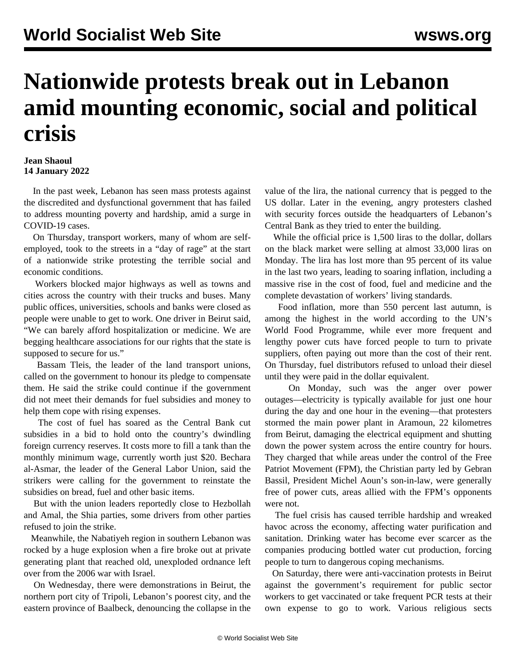## **Nationwide protests break out in Lebanon amid mounting economic, social and political crisis**

## **Jean Shaoul 14 January 2022**

 In the past week, Lebanon has seen mass protests against the discredited and dysfunctional government that has failed to address mounting poverty and hardship, amid a surge in COVID-19 cases.

 On Thursday, transport workers, many of whom are selfemployed, took to the streets in a "day of rage" at the start of a nationwide strike protesting the terrible social and economic conditions.

 Workers blocked major highways as well as towns and cities across the country with their trucks and buses. Many public offices, universities, schools and banks were closed as people were unable to get to work. One driver in Beirut said, "We can barely afford hospitalization or medicine. We are begging healthcare associations for our rights that the state is supposed to secure for us."

 Bassam Tleis, the leader of the land transport unions, called on the government to honour its pledge to compensate them. He said the strike could continue if the government did not meet their demands for fuel subsidies and money to help them cope with rising expenses.

 The cost of fuel has soared as the Central Bank cut subsidies in a bid to hold onto the country's dwindling foreign currency reserves. It costs more to fill a tank than the monthly minimum wage, currently worth just \$20. Bechara al-Asmar, the leader of the General Labor Union, said the strikers were calling for the government to reinstate the subsidies on bread, fuel and other basic items.

 But with the union leaders reportedly close to Hezbollah and Amal, the Shia parties, some drivers from other parties refused to join the strike.

 Meanwhile, the Nabatiyeh region in southern Lebanon was rocked by a huge explosion when a fire broke out at private generating plant that reached old, unexploded ordnance left over from the 2006 war with Israel.

 On Wednesday, there were demonstrations in Beirut, the northern port city of Tripoli, Lebanon's poorest city, and the eastern province of Baalbeck, denouncing the collapse in the

value of the lira, the national currency that is pegged to the US dollar. Later in the evening, angry protesters clashed with security forces outside the headquarters of Lebanon's Central Bank as they tried to enter the building.

 While the official price is 1,500 liras to the dollar, dollars on the black market were selling at almost 33,000 liras on Monday. The lira has lost more than 95 percent of its value in the last two years, leading to soaring inflation, including a massive rise in the cost of food, fuel and medicine and the complete devastation of workers' living standards.

 Food inflation, more than 550 percent last autumn, is among the highest in the world according to the UN's World Food Programme, while ever more frequent and lengthy power cuts have forced people to turn to private suppliers, often paying out more than the cost of their rent. On Thursday, fuel distributors refused to unload their diesel until they were paid in the dollar equivalent.

 On Monday, such was the anger over power outages—electricity is typically available for just one hour during the day and one hour in the evening—that protesters stormed the main power plant in Aramoun, 22 kilometres from Beirut, damaging the electrical equipment and shutting down the power system across the entire country for hours. They charged that while areas under the control of the Free Patriot Movement (FPM), the Christian party led by Gebran Bassil, President Michel Aoun's son-in-law, were generally free of power cuts, areas allied with the FPM's opponents were not.

 The fuel crisis has caused terrible hardship and wreaked havoc across the economy, affecting water purification and sanitation. Drinking water has become ever scarcer as the companies producing bottled water cut production, forcing people to turn to dangerous coping mechanisms.

 On Saturday, there were anti-vaccination protests in Beirut against the government's requirement for public sector workers to get vaccinated or take frequent PCR tests at their own expense to go to work. Various religious sects